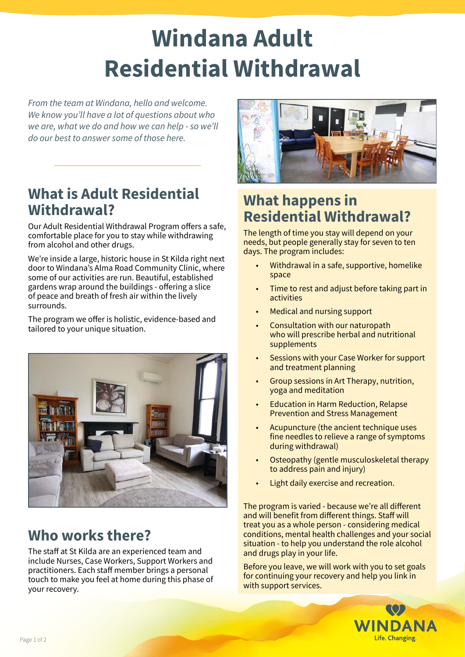# **Windana Adult Residential Withdrawal**

*From the team at Windana, hello and welcome. We know you'll have a lot of questions about who we are, what we do and how we can help - so we'll do our best to answer some of those here.*

#### **What is Adult Residential Withdrawal?**

Our Adult Residential Withdrawal Program offers a safe, comfortable place for you to stay while withdrawing from alcohol and other drugs.

We're inside a large, historic house in St Kilda right next door to Windana's Alma Road Community Clinic, where some of our activities are run. Beautiful, established gardens wrap around the buildings - offering a slice of peace and breath of fresh air within the lively surrounds.

The program we offer is holistic, evidence-based and tailored to your unique situation.



# **Who works there?**

The staff at St Kilda are an experienced team and include Nurses, Case Workers, Support Workers and practitioners. Each staff member brings a personal touch to make you feel at home during this phase of your recovery.



# **What happens in Residential Withdrawal?**

The length of time you stay will depend on your needs, but people generally stay for seven to ten days. The program includes:

- Withdrawal in a safe, supportive, homelike space
- Time to rest and adjust before taking part in activities
- Medical and nursing support
- Consultation with our naturopath who will prescribe herbal and nutritional supplements
- Sessions with your Case Worker for support and treatment planning
- Group sessions in Art Therapy, nutrition, yoga and meditation
- Education in Harm Reduction, Relapse Prevention and Stress Management
- Acupuncture (the ancient technique uses fine needles to relieve a range of symptoms during withdrawal)
- Osteopathy (gentle musculoskeletal therapy to address pain and injury)
- Light daily exercise and recreation.

The program is varied - because we're all different and will benefit from different things. Staff will treat you as a whole person - considering medical conditions, mental health challenges and your social situation - to help you understand the role alcohol and drugs play in your life.

Before you leave, we will work with you to set goals for continuing your recovery and help you link in with support services.